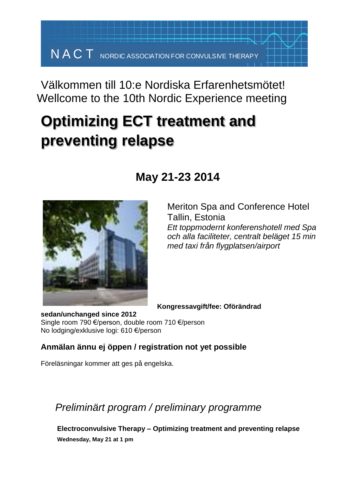## Välkommen till 10:e Nordiska Erfarenhetsmötet! Wellcome to the 10th Nordic Experience meeting

# **Optimizing ECT treatment and preventing relapse**

### **May 21-23 2014**



Meriton Spa and Conference Hotel Tallin, Estonia *Ett toppmodernt konferenshotell med Spa och alla faciliteter, centralt beläget 15 min med taxi från flygplatsen/airport*

**Kongressavgift/fee: Oförändrad**

**sedan/unchanged since 2012** Single room 790 €/person, double room 710 €/person No lodging/exklusive logi: 610 €/person

#### **Anmälan ännu ej öppen / registration not yet possible**

Föreläsningar kommer att ges på engelska.

### *Preliminärt program / preliminary programme*

**Electroconvulsive Therapy – Optimizing treatment and preventing relapse Wednesday, May 21 at 1 pm**